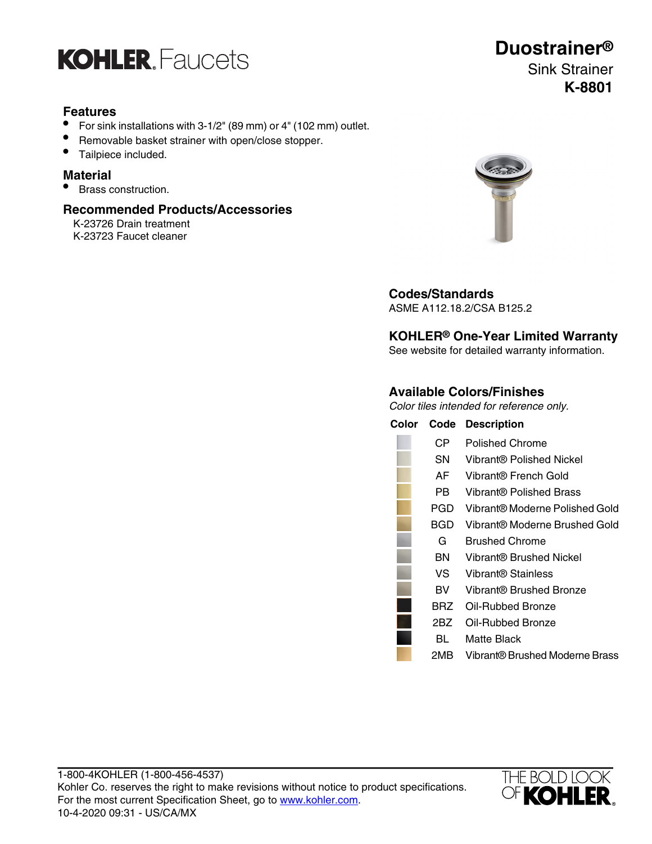

# **Features**

- For sink installations with 3-1/2" (89 mm) or 4" (102 mm) outlet.
- Removable basket strainer with open/close stopper.
- Tailpiece included.

#### **Material**

• Brass construction.

#### **Recommended Products/Accessories**

K-23726 Drain treatment K-23723 Faucet cleaner



**Codes/Standards** ASME A112.18.2/CSA B125.2

# **KOHLER® One-Year Limited Warranty**

See website for detailed warranty information.

### **Available Colors/Finishes**

Color tiles intended for reference only.

| Color |       | <b>Code Description</b>        |
|-------|-------|--------------------------------|
|       | CP.   | Polished Chrome                |
|       | SN.   | Vibrant® Polished Nickel       |
|       | AF    | Vibrant® French Gold           |
|       | PBI   | Vibrant® Polished Brass        |
|       | PGD   | Vibrant® Moderne Polished Gold |
|       | BGD   | Vibrant® Moderne Brushed Gold  |
|       | G     | <b>Brushed Chrome</b>          |
|       | BN.   | Vibrant® Brushed Nickel        |
|       | VS -  | <b>Vibrant® Stainless</b>      |
|       | BV.   | Vibrant® Brushed Bronze        |
|       | BRZ   | Oil-Rubbed Bronze              |
|       | 2BZ - | Oil-Rubbed Bronze              |
|       | BL    | Matte Black                    |
|       | 2MB   | Vibrant® Brushed Moderne Brass |



# **Duostrainer®** Sink Strainer **K-8801**